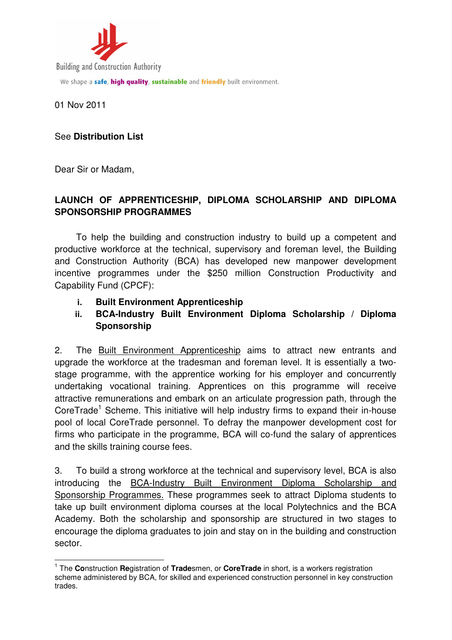

**Building and Construction Authority** We shape a safe, high quality, sustainable and friendly built environment.

01 Nov 2011

l

## See **Distribution List**

Dear Sir or Madam,

## **LAUNCH OF APPRENTICESHIP, DIPLOMA SCHOLARSHIP AND DIPLOMA SPONSORSHIP PROGRAMMES**

 To help the building and construction industry to build up a competent and productive workforce at the technical, supervisory and foreman level, the Building and Construction Authority (BCA) has developed new manpower development incentive programmes under the \$250 million Construction Productivity and Capability Fund (CPCF):

**i. Built Environment Apprenticeship**

# **ii. BCA-Industry Built Environment Diploma Scholarship / Diploma Sponsorship**

2. The **Built Environment Apprenticeship** aims to attract new entrants and upgrade the workforce at the tradesman and foreman level. It is essentially a twostage programme, with the apprentice working for his employer and concurrently undertaking vocational training. Apprentices on this programme will receive attractive remunerations and embark on an articulate progression path, through the CoreTrade<sup>1</sup> Scheme. This initiative will help industry firms to expand their in-house pool of local CoreTrade personnel. To defray the manpower development cost for firms who participate in the programme, BCA will co-fund the salary of apprentices and the skills training course fees.

3. To build a strong workforce at the technical and supervisory level, BCA is also introducing the BCA-Industry Built Environment Diploma Scholarship and Sponsorship Programmes. These programmes seek to attract Diploma students to take up built environment diploma courses at the local Polytechnics and the BCA Academy. Both the scholarship and sponsorship are structured in two stages to encourage the diploma graduates to join and stay on in the building and construction sector.

<sup>1</sup> The **Co**nstruction **Re**gistration of **Trade**smen, or **CoreTrade** in short, is a workers registration scheme administered by BCA, for skilled and experienced construction personnel in key construction trades.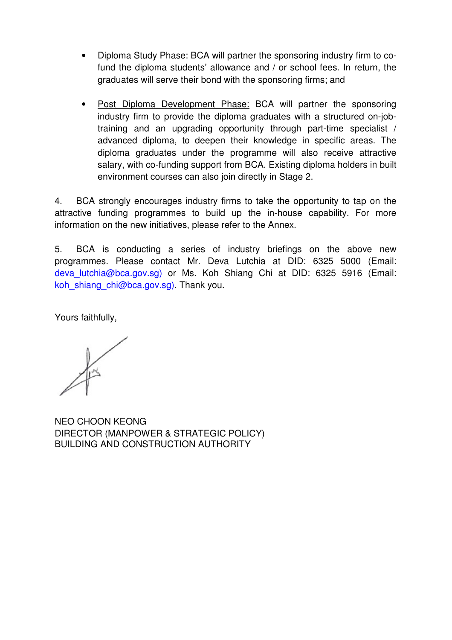- Diploma Study Phase: BCA will partner the sponsoring industry firm to cofund the diploma students' allowance and / or school fees. In return, the graduates will serve their bond with the sponsoring firms; and
- Post Diploma Development Phase: BCA will partner the sponsoring industry firm to provide the diploma graduates with a structured on-jobtraining and an upgrading opportunity through part-time specialist / advanced diploma, to deepen their knowledge in specific areas. The diploma graduates under the programme will also receive attractive salary, with co-funding support from BCA. Existing diploma holders in built environment courses can also join directly in Stage 2.

4. BCA strongly encourages industry firms to take the opportunity to tap on the attractive funding programmes to build up the in-house capability. For more information on the new initiatives, please refer to the Annex.

5. BCA is conducting a series of industry briefings on the above new programmes. Please contact Mr. Deva Lutchia at DID: 6325 5000 (Email: deva lutchia@bca.gov.sg) or Ms. Koh Shiang Chi at DID: 6325 5916 (Email: koh shiang chi@bca.gov.sg). Thank you.

Yours faithfully,

NEO CHOON KEONG DIRECTOR (MANPOWER & STRATEGIC POLICY) BUILDING AND CONSTRUCTION AUTHORITY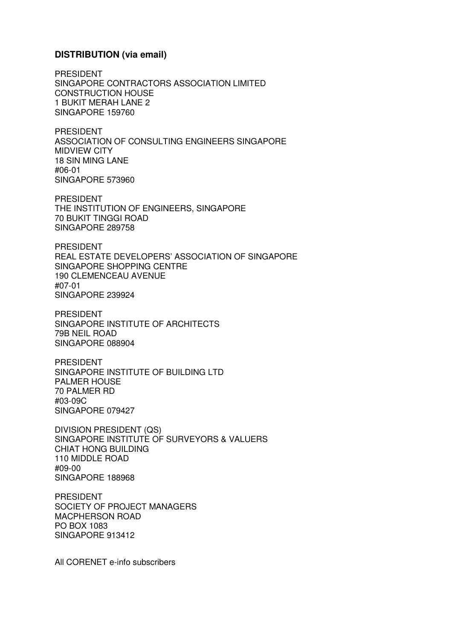#### **DISTRIBUTION (via email)**

PRESIDENT SINGAPORE CONTRACTORS ASSOCIATION LIMITED CONSTRUCTION HOUSE 1 BUKIT MERAH LANE 2 SINGAPORE 159760

PRESIDENT ASSOCIATION OF CONSULTING ENGINEERS SINGAPORE MIDVIEW CITY 18 SIN MING LANE #06-01 SINGAPORE 573960

PRESIDENT THE INSTITUTION OF ENGINEERS, SINGAPORE 70 BUKIT TINGGI ROAD SINGAPORE 289758

PRESIDENT REAL ESTATE DEVELOPERS' ASSOCIATION OF SINGAPORE SINGAPORE SHOPPING CENTRE 190 CLEMENCEAU AVENUE #07-01 SINGAPORE 239924

PRESIDENT SINGAPORE INSTITUTE OF ARCHITECTS 79B NEIL ROAD SINGAPORE 088904

PRESIDENT SINGAPORE INSTITUTE OF BUILDING LTD PALMER HOUSE 70 PALMER RD #03-09C SINGAPORE 079427

DIVISION PRESIDENT (QS) SINGAPORE INSTITUTE OF SURVEYORS & VALUERS CHIAT HONG BUILDING 110 MIDDLE ROAD #09-00 SINGAPORE 188968

PRESIDENT SOCIETY OF PROJECT MANAGERS MACPHERSON ROAD PO BOX 1083 SINGAPORE 913412

All CORENET e-info subscribers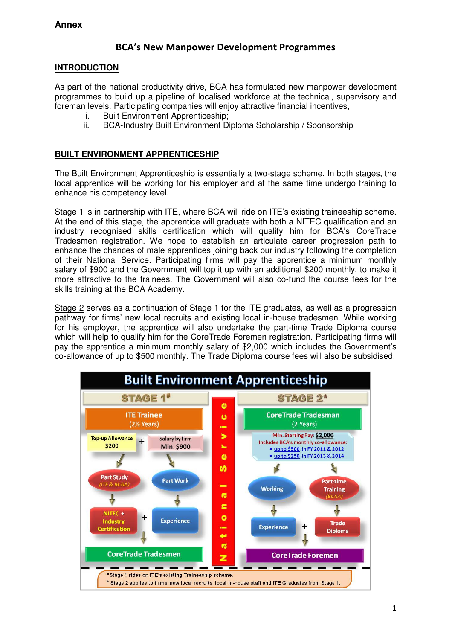## BCA's New Manpower Development Programmes

#### **INTRODUCTION**

As part of the national productivity drive, BCA has formulated new manpower development programmes to build up a pipeline of localised workforce at the technical, supervisory and foreman levels. Participating companies will enjoy attractive financial incentives,

- i. Built Environment Apprenticeship;
- ii. BCA-Industry Built Environment Diploma Scholarship / Sponsorship

#### **BUILT ENVIRONMENT APPRENTICESHIP**

The Built Environment Apprenticeship is essentially a two-stage scheme. In both stages, the local apprentice will be working for his employer and at the same time undergo training to enhance his competency level.

Stage 1 is in partnership with ITE, where BCA will ride on ITE's existing traineeship scheme. At the end of this stage, the apprentice will graduate with both a NITEC qualification and an industry recognised skills certification which will qualify him for BCA's CoreTrade Tradesmen registration. We hope to establish an articulate career progression path to enhance the chances of male apprentices joining back our industry following the completion of their National Service. Participating firms will pay the apprentice a minimum monthly salary of \$900 and the Government will top it up with an additional \$200 monthly, to make it more attractive to the trainees. The Government will also co-fund the course fees for the skills training at the BCA Academy.

Stage 2 serves as a continuation of Stage 1 for the ITE graduates, as well as a progression pathway for firms' new local recruits and existing local in-house tradesmen. While working for his employer, the apprentice will also undertake the part-time Trade Diploma course which will help to qualify him for the CoreTrade Foremen registration. Participating firms will pay the apprentice a minimum monthly salary of \$2,000 which includes the Government's co-allowance of up to \$500 monthly. The Trade Diploma course fees will also be subsidised.

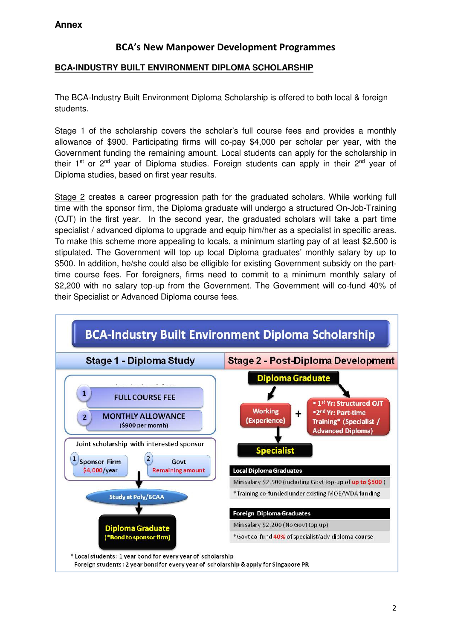#### **Annex**

## BCA's New Manpower Development Programmes

#### **BCA-INDUSTRY BUILT ENVIRONMENT DIPLOMA SCHOLARSHIP**

The BCA-Industry Built Environment Diploma Scholarship is offered to both local & foreign students.

Stage 1 of the scholarship covers the scholar's full course fees and provides a monthly allowance of \$900. Participating firms will co-pay \$4,000 per scholar per year, with the Government funding the remaining amount. Local students can apply for the scholarship in their  $1<sup>st</sup>$  or  $2<sup>nd</sup>$  year of Diploma studies. Foreign students can apply in their  $2<sup>nd</sup>$  year of Diploma studies, based on first year results.

Stage 2 creates a career progression path for the graduated scholars. While working full time with the sponsor firm, the Diploma graduate will undergo a structured On-Job-Training (OJT) in the first year. In the second year, the graduated scholars will take a part time specialist / advanced diploma to upgrade and equip him/her as a specialist in specific areas. To make this scheme more appealing to locals, a minimum starting pay of at least \$2,500 is stipulated. The Government will top up local Diploma graduates' monthly salary by up to \$500. In addition, he/she could also be elligible for existing Government subsidy on the parttime course fees. For foreigners, firms need to commit to a minimum monthly salary of \$2,200 with no salary top-up from the Government. The Government will co-fund 40% of their Specialist or Advanced Diploma course fees.

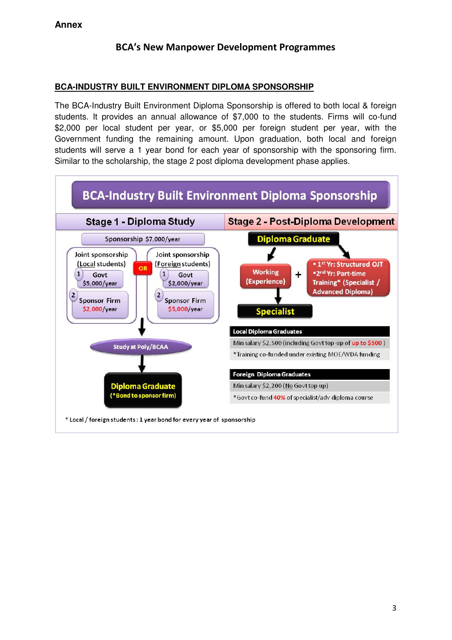## BCA's New Manpower Development Programmes

#### **BCA-INDUSTRY BUILT ENVIRONMENT DIPLOMA SPONSORSHIP**

The BCA-Industry Built Environment Diploma Sponsorship is offered to both local & foreign students. It provides an annual allowance of \$7,000 to the students. Firms will co-fund \$2,000 per local student per year, or \$5,000 per foreign student per year, with the Government funding the remaining amount. Upon graduation, both local and foreign students will serve a 1 year bond for each year of sponsorship with the sponsoring firm. Similar to the scholarship, the stage 2 post diploma development phase applies.

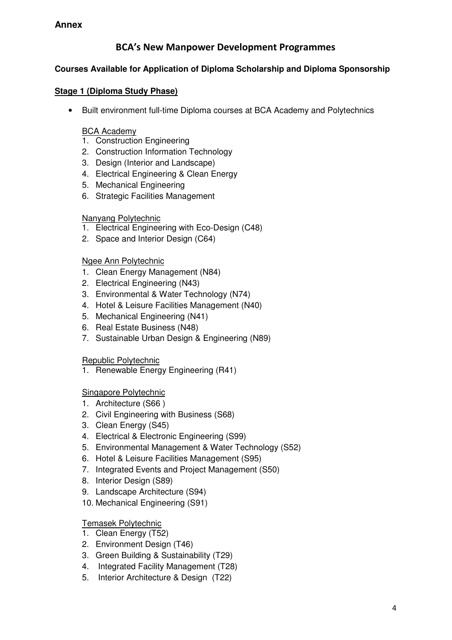## **Annex**

# BCA's New Manpower Development Programmes

### **Courses Available for Application of Diploma Scholarship and Diploma Sponsorship**

#### **Stage 1 (Diploma Study Phase)**

• Built environment full-time Diploma courses at BCA Academy and Polytechnics

#### BCA Academy

- 1. Construction Engineering
- 2. Construction Information Technology
- 3. Design (Interior and Landscape)
- 4. Electrical Engineering & Clean Energy
- 5. Mechanical Engineering
- 6. Strategic Facilities Management

#### Nanyang Polytechnic

- 1. Electrical Engineering with Eco-Design (C48)
- 2. Space and Interior Design (C64)

#### Ngee Ann Polytechnic

- 1. Clean Energy Management (N84)
- 2. Electrical Engineering (N43)
- 3. Environmental & Water Technology (N74)
- 4. Hotel & Leisure Facilities Management (N40)
- 5. Mechanical Engineering (N41)
- 6. Real Estate Business (N48)
- 7. Sustainable Urban Design & Engineering (N89)

#### Republic Polytechnic

1. Renewable Energy Engineering (R41)

#### Singapore Polytechnic

- 1. Architecture (S66 )
- 2. Civil Engineering with Business (S68)
- 3. Clean Energy (S45)
- 4. Electrical & Electronic Engineering (S99)
- 5. Environmental Management & Water Technology (S52)
- 6. Hotel & Leisure Facilities Management (S95)
- 7. Integrated Events and Project Management (S50)
- 8. Interior Design (S89)
- 9. Landscape Architecture (S94)
- 10. Mechanical Engineering (S91)

#### Temasek Polytechnic

- 1. Clean Energy (T52)
- 2. Environment Design (T46)
- 3. Green Building & Sustainability (T29)
- 4. Integrated Facility Management (T28)
- 5. Interior Architecture & Design (T22)